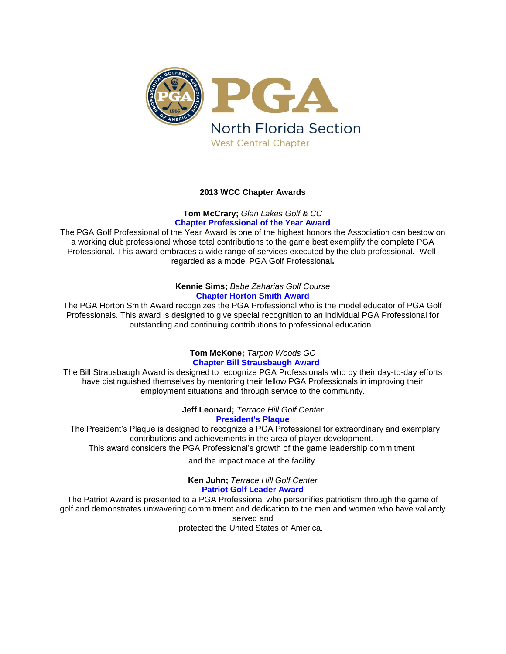

## **2013 WCC Chapter Awards**

# **Tom McCrary;** *Glen Lakes Golf & CC* **Chapter Professional of the Year Award**

The PGA Golf Professional of the Year Award is one of the highest honors the Association can bestow on a working club professional whose total contributions to the game best exemplify the complete PGA Professional. This award embraces a wide range of services executed by the club professional. Wellregarded as a model PGA Golf Professional**.**

### **Kennie Sims;** *Babe Zaharias Golf Course* **Chapter Horton Smith Award**

The PGA Horton Smith Award recognizes the PGA Professional who is the model educator of PGA Golf Professionals. This award is designed to give special recognition to an individual PGA Professional for outstanding and continuing contributions to professional education.

# **Tom McKone;** *Tarpon Woods GC*  **Chapter Bill Strausbaugh Award**

The Bill Strausbaugh Award is designed to recognize PGA Professionals who by their day-to-day efforts have distinguished themselves by mentoring their fellow PGA Professionals in improving their employment situations and through service to the community.

**Jeff Leonard;** *Terrace Hill Golf Center*

# **President's Plaque**

The President's Plaque is designed to recognize a PGA Professional for extraordinary and exemplary contributions and achievements in the area of player development. This award considers the PGA Professional's growth of the game leadership commitment

and the impact made at the facility.

**Ken Juhn;** *Terrace Hill Golf Center* **Patriot Golf Leader Award**

The Patriot Award is presented to a PGA Professional who personifies patriotism through the game of golf and demonstrates unwavering commitment and dedication to the men and women who have valiantly served and protected the United States of America.